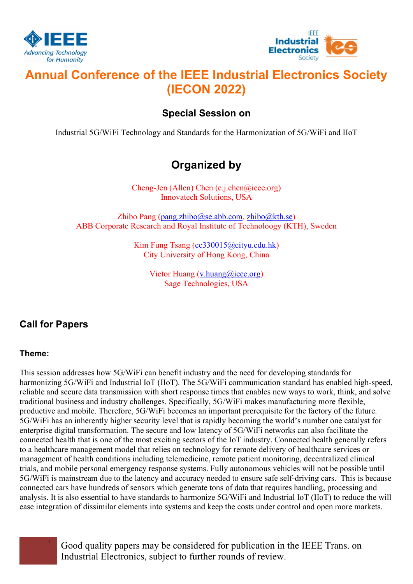



# Annual Conference of the IEEE Industrial Electronics Society (IECON 2022)

### Special Session on

Industrial 5G/WiFi Technology and Standards for the Harmonization of 5G/WiFi and IIoT

## Organized by

Cheng-Jen (Allen) Chen (c.j.chen@ieee.org) Innovatech Solutions, USA

Zhibo Pang (pang.zhibo@se.abb.com, zhibo@kth.se) ABB Corporate Research and Royal Institute of Technoloogy (KTH), Sweden

> Kim Fung Tsang (ee330015@cityu.edu.hk) City University of Hong Kong, China

> > Victor Huang (v.huang@ieee.org) Sage Technologies, USA

## Call for Papers

#### Theme:

This session addresses how 5G/WiFi can benefit industry and the need for developing standards for harmonizing 5G/WiFi and Industrial IoT (IIoT). The 5G/WiFi communication standard has enabled high-speed, reliable and secure data transmission with short response times that enables new ways to work, think, and solve traditional business and industry challenges. Specifically, 5G/WiFi makes manufacturing more flexible, productive and mobile. Therefore, 5G/WiFi becomes an important prerequisite for the factory of the future. 5G/WiFi has an inherently higher security level that is rapidly becoming the world's number one catalyst for enterprise digital transformation. The secure and low latency of 5G/WiFi networks can also facilitate the connected health that is one of the most exciting sectors of the IoT industry. Connected health generally refers to a healthcare management model that relies on technology for remote delivery of healthcare services or management of health conditions including telemedicine, remote patient monitoring, decentralized clinical trials, and mobile personal emergency response systems. Fully autonomous vehicles will not be possible until 5G/WiFi is mainstream due to the latency and accuracy needed to ensure safe self-driving cars. This is because connected cars have hundreds of sensors which generate tons of data that requires handling, processing and analysis. It is also essential to have standards to harmonize 5G/WiFi and Industrial IoT (IIoT) to reduce the will ease integration of dissimilar elements into systems and keep the costs under control and open more markets.

> <sup>1</sup> Good quality papers may be considered for publication in the IEEE Trans. on Industrial Electronics, subject to further rounds of review.